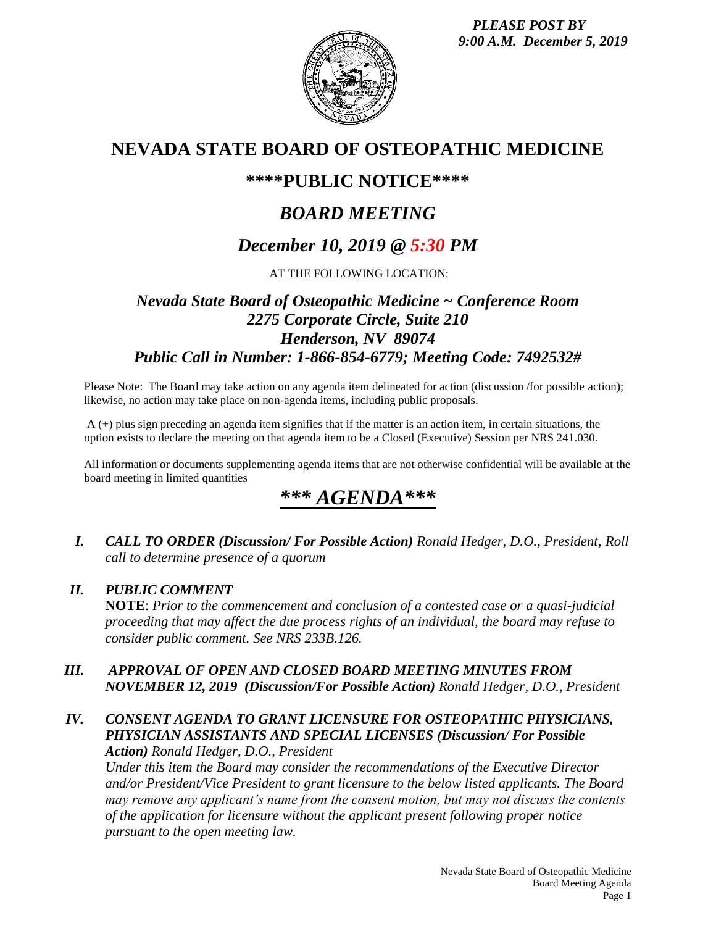*PLEASE POST BY 9:00 A.M. December 5, 2019*



## **NEVADA STATE BOARD OF OSTEOPATHIC MEDICINE**

## **\*\*\*\*PUBLIC NOTICE\*\*\*\***

# *BOARD MEETING*

# *December 10, 2019 @ 5:30 PM*

AT THE FOLLOWING LOCATION:

## *Nevada State Board of Osteopathic Medicine ~ Conference Room 2275 Corporate Circle, Suite 210 Henderson, NV 89074 Public Call in Number: 1-866-854-6779; Meeting Code: 7492532#*

Please Note: The Board may take action on any agenda item delineated for action (discussion /for possible action); likewise, no action may take place on non-agenda items, including public proposals.

A (+) plus sign preceding an agenda item signifies that if the matter is an action item, in certain situations, the option exists to declare the meeting on that agenda item to be a Closed (Executive) Session per NRS 241.030.

All information or documents supplementing agenda items that are not otherwise confidential will be available at the board meeting in limited quantities

# *\*\*\* AGENDA\*\*\**

*I. CALL TO ORDER (Discussion/ For Possible Action) Ronald Hedger, D.O., President, Roll call to determine presence of a quorum*

### *II. PUBLIC COMMENT*

**NOTE**: *Prior to the commencement and conclusion of a contested case or a quasi-judicial proceeding that may affect the due process rights of an individual, the board may refuse to consider public comment. See NRS 233B.126.*

#### *III. APPROVAL OF OPEN AND CLOSED BOARD MEETING MINUTES FROM NOVEMBER 12, 2019 (Discussion/For Possible Action) Ronald Hedger, D.O., President*

#### *IV. CONSENT AGENDA TO GRANT LICENSURE FOR OSTEOPATHIC PHYSICIANS, PHYSICIAN ASSISTANTS AND SPECIAL LICENSES (Discussion/ For Possible Action) Ronald Hedger, D.O., President*

*Under this item the Board may consider the recommendations of the Executive Director and/or President/Vice President to grant licensure to the below listed applicants. The Board may remove any applicant's name from the consent motion, but may not discuss the contents of the application for licensure without the applicant present following proper notice pursuant to the open meeting law.*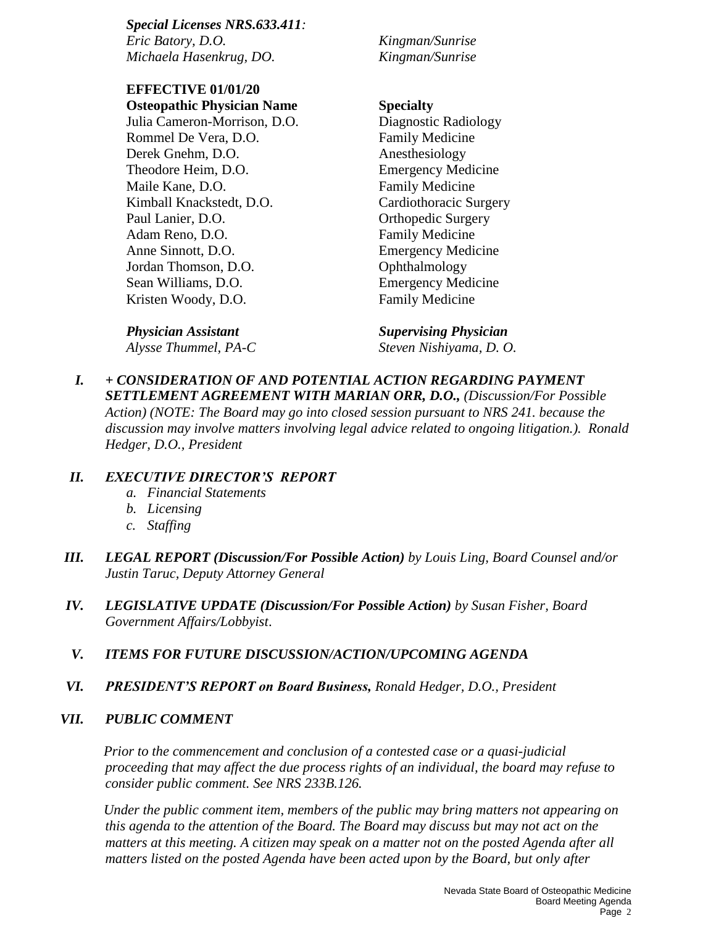*Special Licenses NRS.633.411: Eric Batory, D.O. Kingman/Sunrise Michaela Hasenkrug, DO. Kingman/Sunrise*

# **EFFECTIVE 01/01/20**

**Osteopathic Physician Name Specialty** Julia Cameron-Morrison, D.O. Diagnostic Radiology Rommel De Vera, D.O. Family Medicine Derek Gnehm, D.O. Anesthesiology Theodore Heim, D.O. Emergency Medicine Maile Kane, D.O. **Family Medicine** Kimball Knackstedt, D.O. Cardiothoracic Surgery Paul Lanier, D.O. **Orthopedic Surgery** Adam Reno, D.O. **Family Medicine** Anne Sinnott, D.O. Emergency Medicine Jordan Thomson, D.O. **Ophthalmology** Sean Williams, D.O. Emergency Medicine<br>
Kristen Woody, D.O. Family Medicine Kristen Woody, D.O.

*Physician Assistant Supervising Physician Alysse Thummel, PA-C Steven Nishiyama, D. O.*

*I. + CONSIDERATION OF AND POTENTIAL ACTION REGARDING PAYMENT SETTLEMENT AGREEMENT WITH MARIAN ORR, D.O., (Discussion/For Possible Action) (NOTE: The Board may go into closed session pursuant to NRS 241. because the discussion may involve matters involving legal advice related to ongoing litigation.). Ronald Hedger, D.O., President*

## *II. EXECUTIVE DIRECTOR'S REPORT*

- *a. Financial Statements*
- *b. Licensing*
- *c. Staffing*
- *III. LEGAL REPORT (Discussion/For Possible Action) by Louis Ling, Board Counsel and/or Justin Taruc, Deputy Attorney General*
- *IV. LEGISLATIVE UPDATE (Discussion/For Possible Action) by Susan Fisher, Board Government Affairs/Lobbyist*.
- *V. ITEMS FOR FUTURE DISCUSSION/ACTION/UPCOMING AGENDA*
- *VI. PRESIDENT'S REPORT on Board Business, Ronald Hedger, D.O., President*

## *VII. PUBLIC COMMENT*

*Prior to the commencement and conclusion of a contested case or a quasi-judicial proceeding that may affect the due process rights of an individual, the board may refuse to consider public comment. See NRS 233B.126.*

*Under the public comment item, members of the public may bring matters not appearing on this agenda to the attention of the Board. The Board may discuss but may not act on the matters at this meeting. A citizen may speak on a matter not on the posted Agenda after all matters listed on the posted Agenda have been acted upon by the Board, but only after*